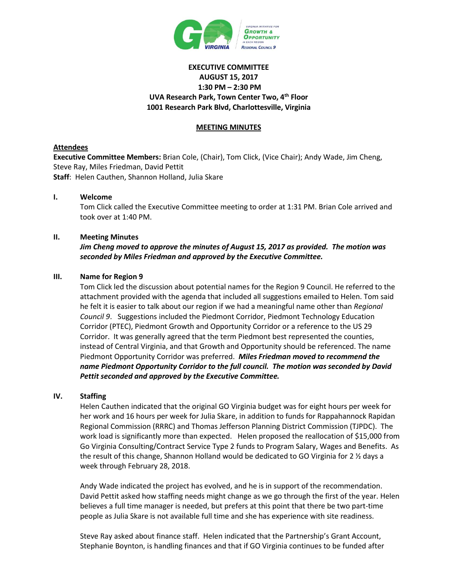

# **EXECUTIVE COMMITTEE AUGUST 15, 2017 1:30 PM – 2:30 PM UVA Research Park, Town Center Two, 4th Floor 1001 Research Park Blvd, Charlottesville, Virginia**

# **MEETING MINUTES**

# **Attendees**

**Executive Committee Members:** Brian Cole, (Chair), Tom Click, (Vice Chair); Andy Wade, Jim Cheng, Steve Ray, Miles Friedman, David Pettit **Staff**: Helen Cauthen, Shannon Holland, Julia Skare

# **I. Welcome**

Tom Click called the Executive Committee meeting to order at 1:31 PM. Brian Cole arrived and took over at 1:40 PM.

# **II. Meeting Minutes**

*Jim Cheng moved to approve the minutes of August 15, 2017 as provided. The motion was seconded by Miles Friedman and approved by the Executive Committee.*

# **III. Name for Region 9**

Tom Click led the discussion about potential names for the Region 9 Council. He referred to the attachment provided with the agenda that included all suggestions emailed to Helen. Tom said he felt it is easier to talk about our region if we had a meaningful name other than *Regional Council 9*. Suggestions included the Piedmont Corridor, Piedmont Technology Education Corridor (PTEC), Piedmont Growth and Opportunity Corridor or a reference to the US 29 Corridor. It was generally agreed that the term Piedmont best represented the counties, instead of Central Virginia, and that Growth and Opportunity should be referenced. The name Piedmont Opportunity Corridor was preferred. *Miles Friedman moved to recommend the name Piedmont Opportunity Corridor to the full council. The motion was seconded by David Pettit seconded and approved by the Executive Committee.*

# **IV. Staffing**

Helen Cauthen indicated that the original GO Virginia budget was for eight hours per week for her work and 16 hours per week for Julia Skare, in addition to funds for Rappahannock Rapidan Regional Commission (RRRC) and Thomas Jefferson Planning District Commission (TJPDC). The work load is significantly more than expected. Helen proposed the reallocation of \$15,000 from Go Virginia Consulting/Contract Service Type 2 funds to Program Salary, Wages and Benefits. As the result of this change, Shannon Holland would be dedicated to GO Virginia for 2 ½ days a week through February 28, 2018.

Andy Wade indicated the project has evolved, and he is in support of the recommendation. David Pettit asked how staffing needs might change as we go through the first of the year. Helen believes a full time manager is needed, but prefers at this point that there be two part-time people as Julia Skare is not available full time and she has experience with site readiness.

Steve Ray asked about finance staff. Helen indicated that the Partnership's Grant Account, Stephanie Boynton, is handling finances and that if GO Virginia continues to be funded after